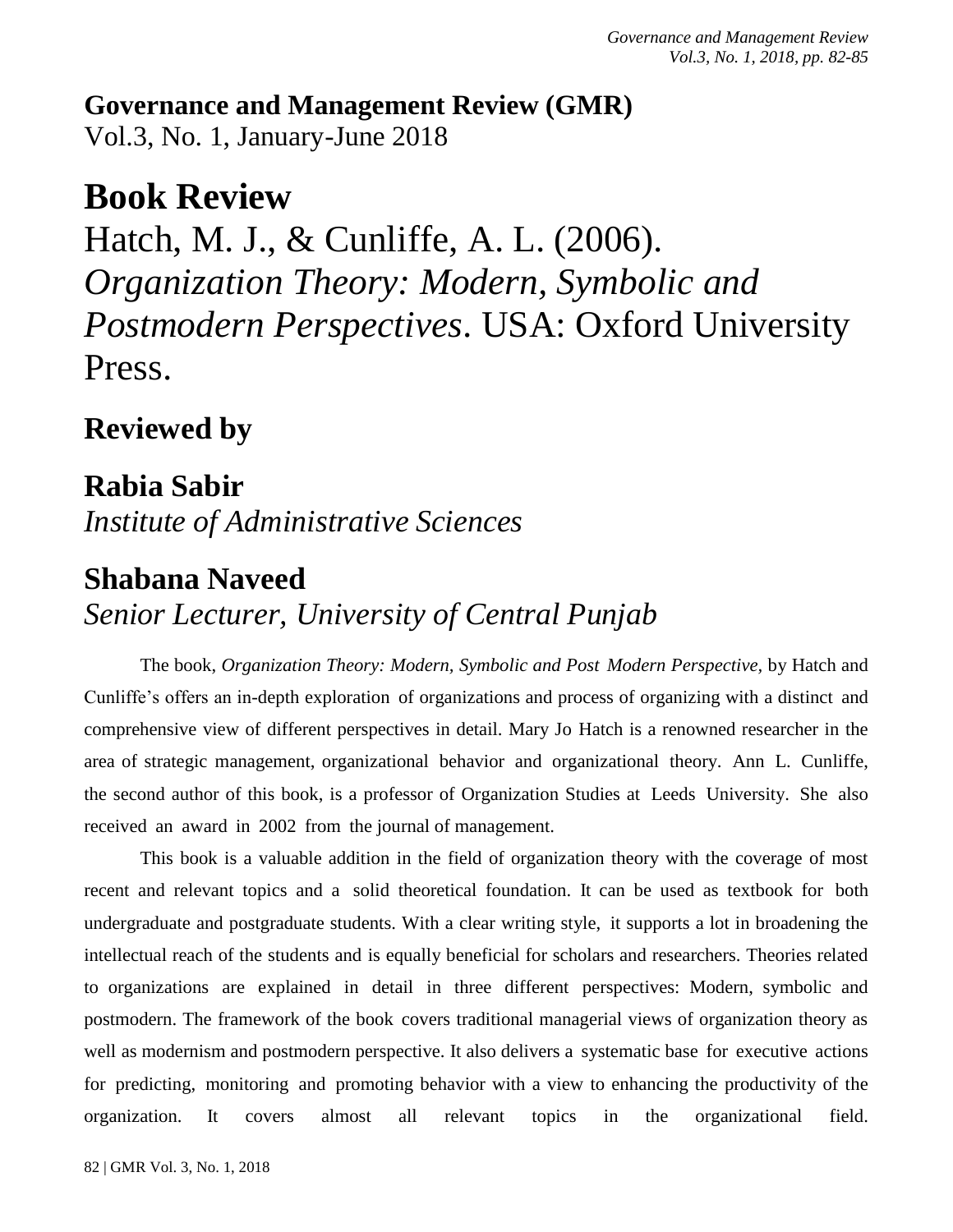**Governance and Management Review (GMR)** Vol.3, No. 1, January-June 2018

# **Book Review**

Hatch, M. J., & Cunliffe, A. L. (2006). *Organization Theory: Modern, Symbolic and Postmodern Perspectives*. USA: Oxford University Press.

### **Reviewed by**

**Rabia Sabir** *Institute of Administrative Sciences*

## **Shabana Naveed**

## *Senior Lecturer, University of Central Punjab*

The book, *Organization Theory: Modern, Symbolic and Post Modern Perspective,* by Hatch and Cunliffe's offers an in-depth exploration of organizations and process of organizing with a distinct and comprehensive view of different perspectives in detail. Mary Jo Hatch is a renowned researcher in the area of strategic management, organizational behavior and organizational theory. Ann L. Cunliffe, the second author of this book, is a professor of Organization Studies at Leeds University. She also received an award in 2002 from the journal of management.

This book is a valuable addition in the field of organization theory with the coverage of most recent and relevant topics and a solid theoretical foundation. It can be used as textbook for both undergraduate and postgraduate students. With a clear writing style, it supports a lot in broadening the intellectual reach of the students and is equally beneficial for scholars and researchers. Theories related to organizations are explained in detail in three different perspectives: Modern, symbolic and postmodern. The framework of the book covers traditional managerial views of organization theory as well as modernism and postmodern perspective. It also delivers a systematic base for executive actions for predicting, monitoring and promoting behavior with a view to enhancing the productivity of the organization. It covers almost all relevant topics in the organizational field.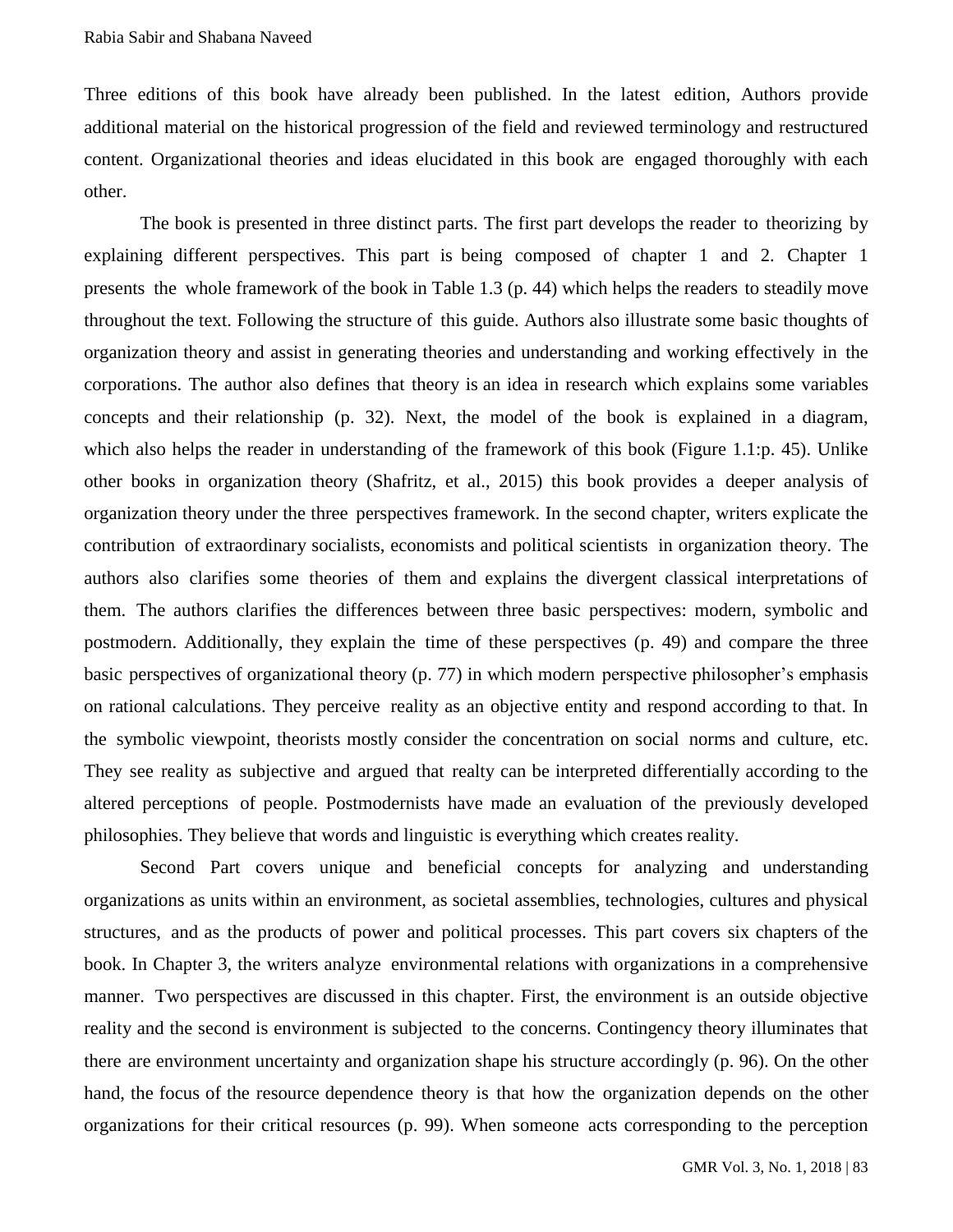Three editions of this book have already been published. In the latest edition, Authors provide additional material on the historical progression of the field and reviewed terminology and restructured content. Organizational theories and ideas elucidated in this book are engaged thoroughly with each other.

The book is presented in three distinct parts. The first part develops the reader to theorizing by explaining different perspectives. This part is being composed of chapter 1 and 2. Chapter 1 presents the whole framework of the book in Table 1.3 (p. 44) which helps the readers to steadily move throughout the text. Following the structure of this guide. Authors also illustrate some basic thoughts of organization theory and assist in generating theories and understanding and working effectively in the corporations. The author also defines that theory is an idea in research which explains some variables concepts and their relationship (p. 32). Next, the model of the book is explained in a diagram, which also helps the reader in understanding of the framework of this book (Figure 1.1:p. 45). Unlike other books in organization theory (Shafritz, et al., 2015) this book provides a deeper analysis of organization theory under the three perspectives framework. In the second chapter, writers explicate the contribution of extraordinary socialists, economists and political scientists in organization theory. The authors also clarifies some theories of them and explains the divergent classical interpretations of them. The authors clarifies the differences between three basic perspectives: modern, symbolic and postmodern. Additionally, they explain the time of these perspectives (p. 49) and compare the three basic perspectives of organizational theory (p. 77) in which modern perspective philosopher's emphasis on rational calculations. They perceive reality as an objective entity and respond according to that. In the symbolic viewpoint, theorists mostly consider the concentration on social norms and culture, etc. They see reality as subjective and argued that realty can be interpreted differentially according to the altered perceptions of people. Postmodernists have made an evaluation of the previously developed philosophies. They believe that words and linguistic is everything which creates reality.

Second Part covers unique and beneficial concepts for analyzing and understanding organizations as units within an environment, as societal assemblies, technologies, cultures and physical structures, and as the products of power and political processes. This part covers six chapters of the book. In Chapter 3, the writers analyze environmental relations with organizations in a comprehensive manner. Two perspectives are discussed in this chapter. First, the environment is an outside objective reality and the second is environment is subjected to the concerns. Contingency theory illuminates that there are environment uncertainty and organization shape his structure accordingly (p. 96). On the other hand, the focus of the resource dependence theory is that how the organization depends on the other organizations for their critical resources (p. 99). When someone acts corresponding to the perception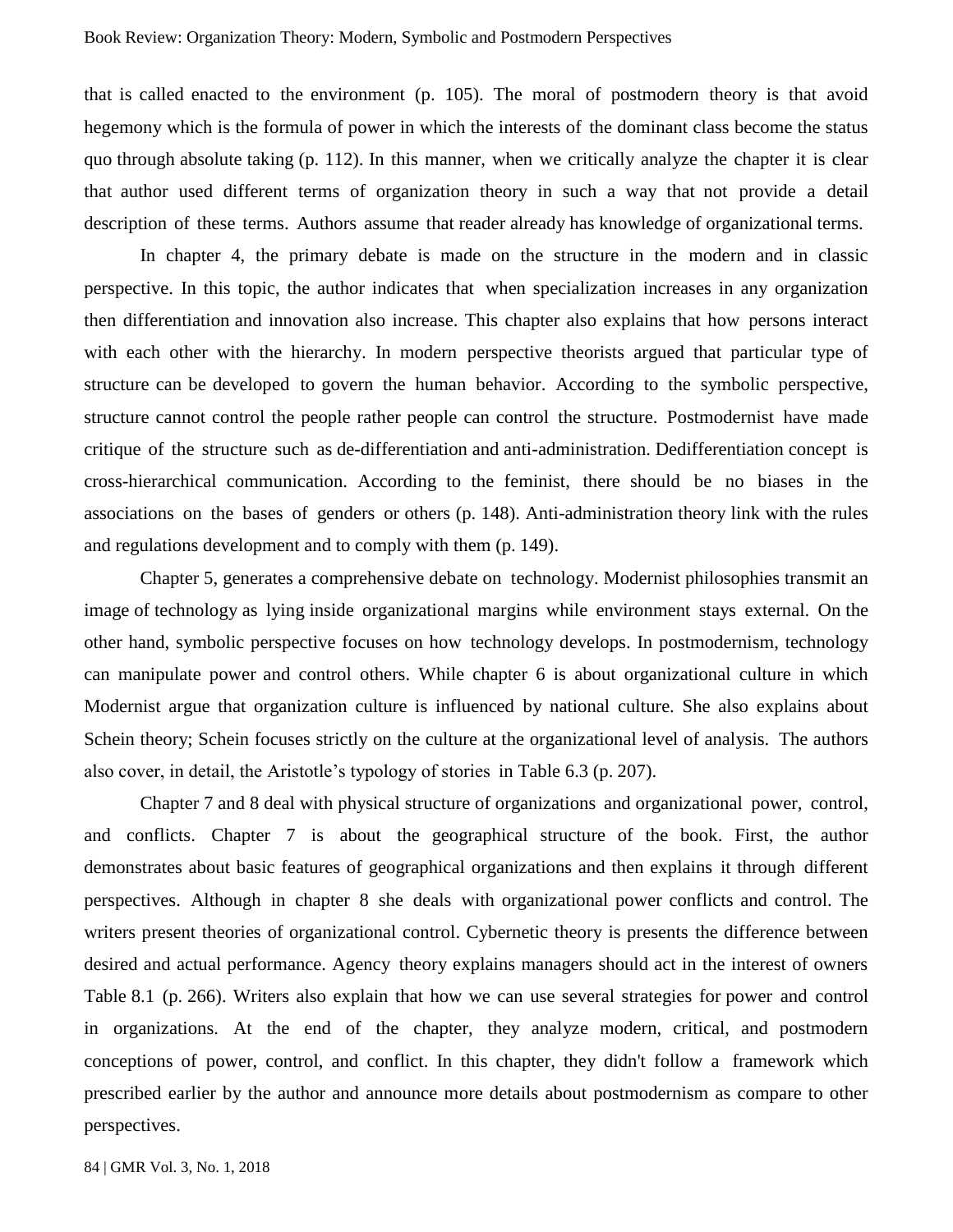that is called enacted to the environment (p. 105). The moral of postmodern theory is that avoid hegemony which is the formula of power in which the interests of the dominant class become the status quo through absolute taking (p. 112). In this manner, when we critically analyze the chapter it is clear that author used different terms of organization theory in such a way that not provide a detail description of these terms. Authors assume that reader already has knowledge of organizational terms.

In chapter 4, the primary debate is made on the structure in the modern and in classic perspective. In this topic, the author indicates that when specialization increases in any organization then differentiation and innovation also increase. This chapter also explains that how persons interact with each other with the hierarchy. In modern perspective theorists argued that particular type of structure can be developed to govern the human behavior. According to the symbolic perspective, structure cannot control the people rather people can control the structure. Postmodernist have made critique of the structure such as de-differentiation and anti-administration. Dedifferentiation concept is cross-hierarchical communication. According to the feminist, there should be no biases in the associations on the bases of genders or others (p. 148). Anti-administration theory link with the rules and regulations development and to comply with them (p. 149).

Chapter 5, generates a comprehensive debate on technology. Modernist philosophies transmit an image of technology as lying inside organizational margins while environment stays external. On the other hand, symbolic perspective focuses on how technology develops. In postmodernism, technology can manipulate power and control others. While chapter 6 is about organizational culture in which Modernist argue that organization culture is influenced by national culture. She also explains about Schein theory; Schein focuses strictly on the culture at the organizational level of analysis. The authors also cover, in detail, the Aristotle's typology of stories in Table 6.3 (p. 207).

Chapter 7 and 8 deal with physical structure of organizations and organizational power, control, and conflicts. Chapter 7 is about the geographical structure of the book. First, the author demonstrates about basic features of geographical organizations and then explains it through different perspectives. Although in chapter 8 she deals with organizational power conflicts and control. The writers present theories of organizational control. Cybernetic theory is presents the difference between desired and actual performance. Agency theory explains managers should act in the interest of owners Table 8.1 (p. 266). Writers also explain that how we can use several strategies for power and control in organizations. At the end of the chapter, they analyze modern, critical, and postmodern conceptions of power, control, and conflict. In this chapter, they didn't follow a framework which prescribed earlier by the author and announce more details about postmodernism as compare to other perspectives.